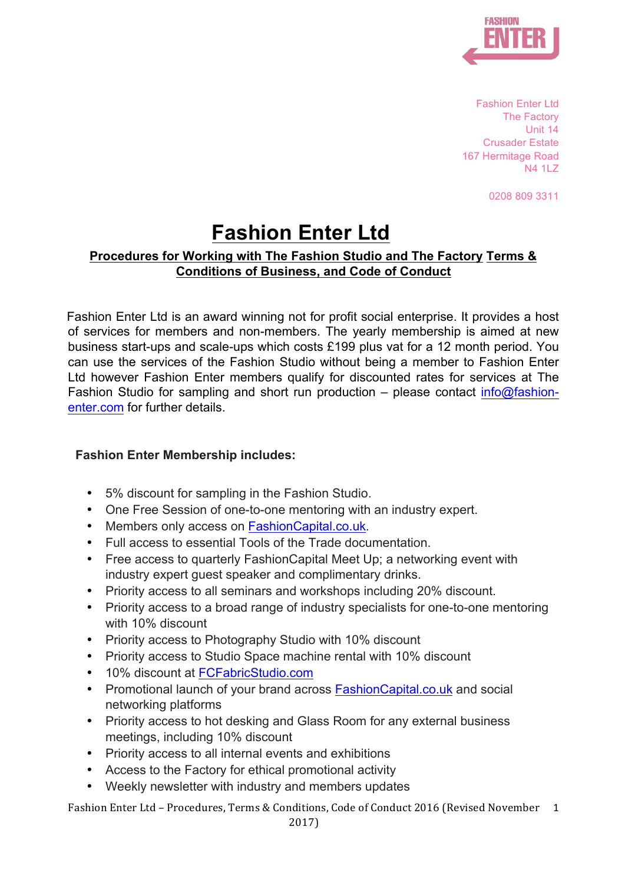

Fashion Enter Ltd The Factory Unit 14 Crusader Estate 167 Hermitage Road N4 11 7

0208 809 3311

# **Fashion Enter Ltd**

# **Procedures for Working with The Fashion Studio and The Factory Terms & Conditions of Business, and Code of Conduct**

Fashion Enter Ltd is an award winning not for profit social enterprise. It provides a host of services for members and non-members. The yearly membership is aimed at new business start-ups and scale-ups which costs £199 plus vat for a 12 month period. You can use the services of the Fashion Studio without being a member to Fashion Enter Ltd however Fashion Enter members qualify for discounted rates for services at The Fashion Studio for sampling and short run production – please contact info@fashionenter.com for further details.

# **Fashion Enter Membership includes:**

- 5% discount for sampling in the Fashion Studio.
- One Free Session of one-to-one mentoring with an industry expert.
- Members only access on FashionCapital.co.uk.
- Full access to essential Tools of the Trade documentation.
- Free access to quarterly FashionCapital Meet Up; a networking event with industry expert guest speaker and complimentary drinks.
- Priority access to all seminars and workshops including 20% discount.
- Priority access to a broad range of industry specialists for one-to-one mentoring with 10% discount
- Priority access to Photography Studio with 10% discount
- Priority access to Studio Space machine rental with 10% discount
- 10% discount at FCFabricStudio.com
- Promotional launch of your brand across FashionCapital.co.uk and social networking platforms
- Priority access to hot desking and Glass Room for any external business meetings, including 10% discount
- Priority access to all internal events and exhibitions
- Access to the Factory for ethical promotional activity
- Weekly newsletter with industry and members updates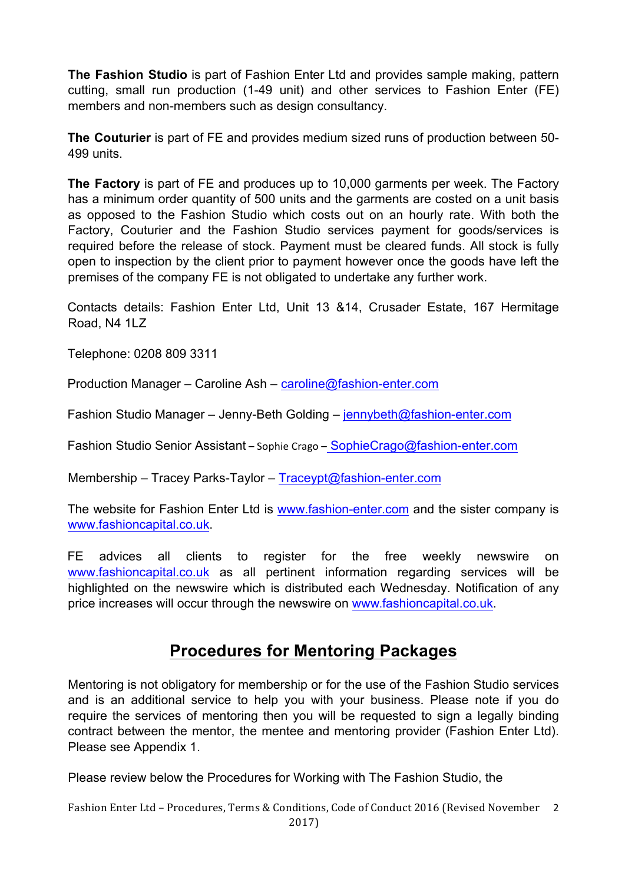**The Fashion Studio** is part of Fashion Enter Ltd and provides sample making, pattern cutting, small run production (1-49 unit) and other services to Fashion Enter (FE) members and non-members such as design consultancy.

**The Couturier** is part of FE and provides medium sized runs of production between 50- 499 units.

**The Factory** is part of FE and produces up to 10,000 garments per week. The Factory has a minimum order quantity of 500 units and the garments are costed on a unit basis as opposed to the Fashion Studio which costs out on an hourly rate. With both the Factory, Couturier and the Fashion Studio services payment for goods/services is required before the release of stock. Payment must be cleared funds. All stock is fully open to inspection by the client prior to payment however once the goods have left the premises of the company FE is not obligated to undertake any further work.

Contacts details: Fashion Enter Ltd, Unit 13 &14, Crusader Estate, 167 Hermitage Road, N4 1LZ

Telephone: 0208 809 3311

Production Manager – Caroline Ash – caroline@fashion-enter.com

Fashion Studio Manager – Jenny-Beth Golding – jennybeth@fashion-enter.com

Fashion Studio Senior Assistant – Sophie Crago – SophieCrago@fashion-enter.com

Membership – Tracey Parks-Taylor – Traceypt@fashion-enter.com

The website for Fashion Enter Ltd is www.fashion-enter.com and the sister company is www.fashioncapital.co.uk.

FE advices all clients to register for the free weekly newswire on www.fashioncapital.co.uk as all pertinent information regarding services will be highlighted on the newswire which is distributed each Wednesday. Notification of any price increases will occur through the newswire on www.fashioncapital.co.uk.

# **Procedures for Mentoring Packages**

Mentoring is not obligatory for membership or for the use of the Fashion Studio services and is an additional service to help you with your business. Please note if you do require the services of mentoring then you will be requested to sign a legally binding contract between the mentor, the mentee and mentoring provider (Fashion Enter Ltd). Please see Appendix 1.

Please review below the Procedures for Working with The Fashion Studio, the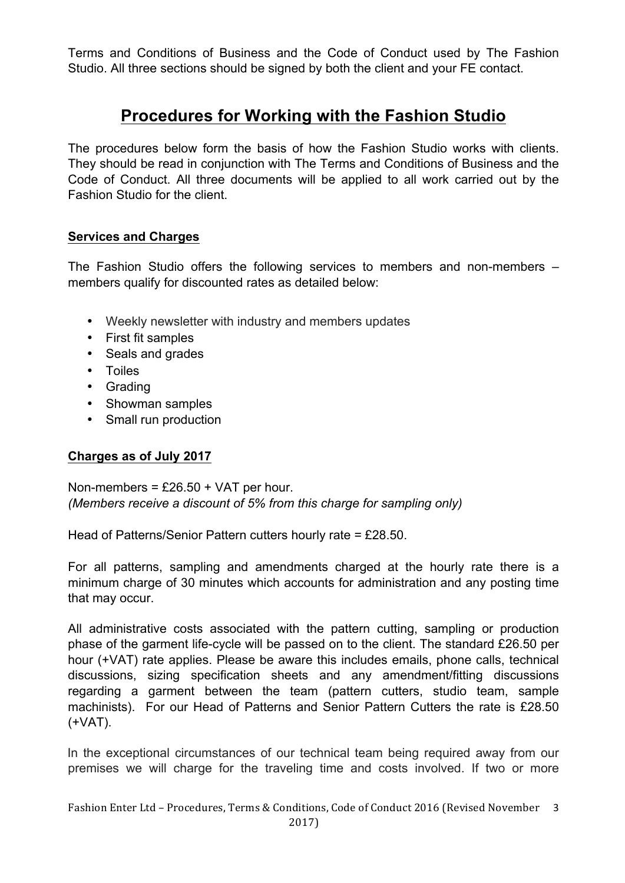Terms and Conditions of Business and the Code of Conduct used by The Fashion Studio. All three sections should be signed by both the client and your FE contact.

# **Procedures for Working with the Fashion Studio**

The procedures below form the basis of how the Fashion Studio works with clients. They should be read in conjunction with The Terms and Conditions of Business and the Code of Conduct. All three documents will be applied to all work carried out by the Fashion Studio for the client.

# **Services and Charges**

The Fashion Studio offers the following services to members and non-members – members qualify for discounted rates as detailed below:

- Weekly newsletter with industry and members updates
- First fit samples
- Seals and grades
- Toiles
- Grading
- Showman samples
- Small run production

# **Charges as of July 2017**

Non-members =  $£26.50 + VAT$  per hour. *(Members receive a discount of 5% from this charge for sampling only)*

Head of Patterns/Senior Pattern cutters hourly rate = £28.50.

For all patterns, sampling and amendments charged at the hourly rate there is a minimum charge of 30 minutes which accounts for administration and any posting time that may occur.

All administrative costs associated with the pattern cutting, sampling or production phase of the garment life-cycle will be passed on to the client. The standard £26.50 per hour (+VAT) rate applies. Please be aware this includes emails, phone calls, technical discussions, sizing specification sheets and any amendment/fitting discussions regarding a garment between the team (pattern cutters, studio team, sample machinists). For our Head of Patterns and Senior Pattern Cutters the rate is £28.50 (+VAT).

In the exceptional circumstances of our technical team being required away from our premises we will charge for the traveling time and costs involved. If two or more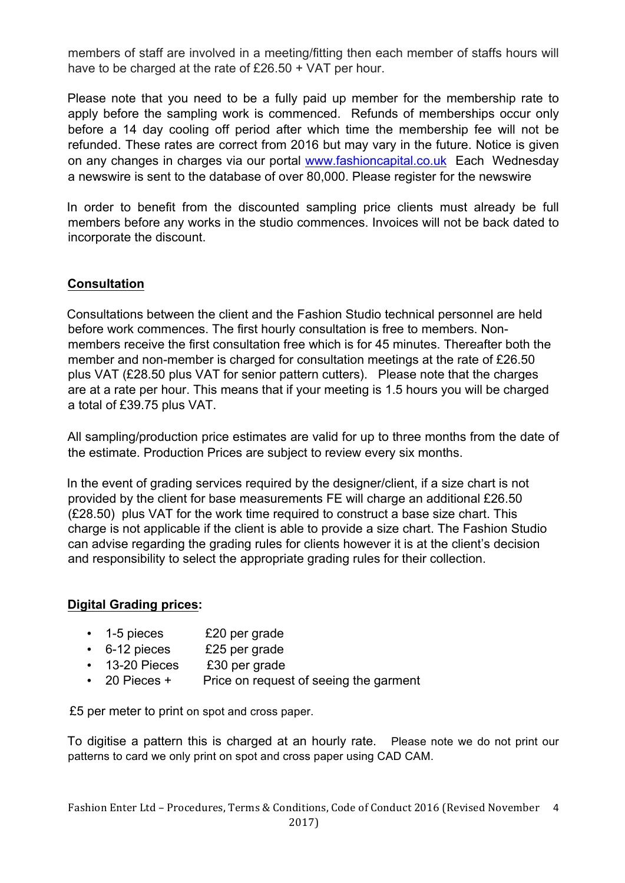members of staff are involved in a meeting/fitting then each member of staffs hours will have to be charged at the rate of £26.50 + VAT per hour.

Please note that you need to be a fully paid up member for the membership rate to apply before the sampling work is commenced. Refunds of memberships occur only before a 14 day cooling off period after which time the membership fee will not be refunded. These rates are correct from 2016 but may vary in the future. Notice is given on any changes in charges via our portal www.fashioncapital.co.uk Each Wednesday a newswire is sent to the database of over 80,000. Please register for the newswire

In order to benefit from the discounted sampling price clients must already be full members before any works in the studio commences. Invoices will not be back dated to incorporate the discount.

# **Consultation**

Consultations between the client and the Fashion Studio technical personnel are held before work commences. The first hourly consultation is free to members. Nonmembers receive the first consultation free which is for 45 minutes. Thereafter both the member and non-member is charged for consultation meetings at the rate of £26.50 plus VAT (£28.50 plus VAT for senior pattern cutters). Please note that the charges are at a rate per hour. This means that if your meeting is 1.5 hours you will be charged a total of £39.75 plus VAT.

All sampling/production price estimates are valid for up to three months from the date of the estimate. Production Prices are subject to review every six months.

In the event of grading services required by the designer/client, if a size chart is not provided by the client for base measurements FE will charge an additional £26.50 (£28.50) plus VAT for the work time required to construct a base size chart. This charge is not applicable if the client is able to provide a size chart. The Fashion Studio can advise regarding the grading rules for clients however it is at the client's decision and responsibility to select the appropriate grading rules for their collection.

# **Digital Grading prices:**

- 1-5 pieces £20 per grade
- 6-12 pieces £25 per grade
- 13-20 Pieces £30 per grade
- 20 Pieces + Price on request of seeing the garment

£5 per meter to print on spot and cross paper.

To digitise a pattern this is charged at an hourly rate. Please note we do not print our patterns to card we only print on spot and cross paper using CAD CAM.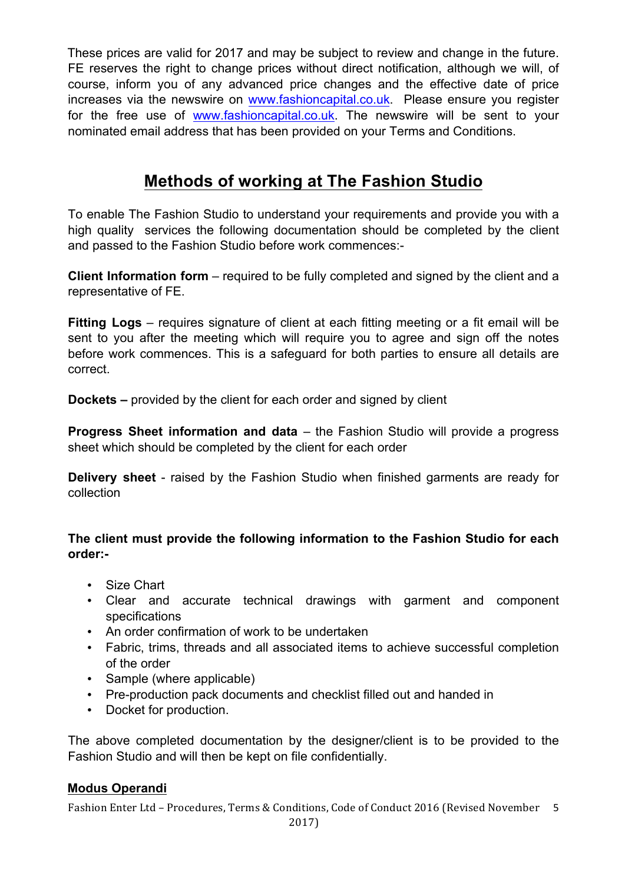These prices are valid for 2017 and may be subject to review and change in the future. FE reserves the right to change prices without direct notification, although we will, of course, inform you of any advanced price changes and the effective date of price increases via the newswire on www.fashioncapital.co.uk. Please ensure you register for the free use of www.fashioncapital.co.uk. The newswire will be sent to your nominated email address that has been provided on your Terms and Conditions.

# **Methods of working at The Fashion Studio**

To enable The Fashion Studio to understand your requirements and provide you with a high quality services the following documentation should be completed by the client and passed to the Fashion Studio before work commences:-

**Client Information form** – required to be fully completed and signed by the client and a representative of FE.

**Fitting Logs** – requires signature of client at each fitting meeting or a fit email will be sent to you after the meeting which will require you to agree and sign off the notes before work commences. This is a safeguard for both parties to ensure all details are correct.

**Dockets –** provided by the client for each order and signed by client

**Progress Sheet information and data** – the Fashion Studio will provide a progress sheet which should be completed by the client for each order

**Delivery sheet** - raised by the Fashion Studio when finished garments are ready for collection

# **The client must provide the following information to the Fashion Studio for each order:-**

- Size Chart
- Clear and accurate technical drawings with garment and component specifications
- An order confirmation of work to be undertaken
- Fabric, trims, threads and all associated items to achieve successful completion of the order
- Sample (where applicable)
- Pre-production pack documents and checklist filled out and handed in
- Docket for production.

The above completed documentation by the designer/client is to be provided to the Fashion Studio and will then be kept on file confidentially.

# **Modus Operandi**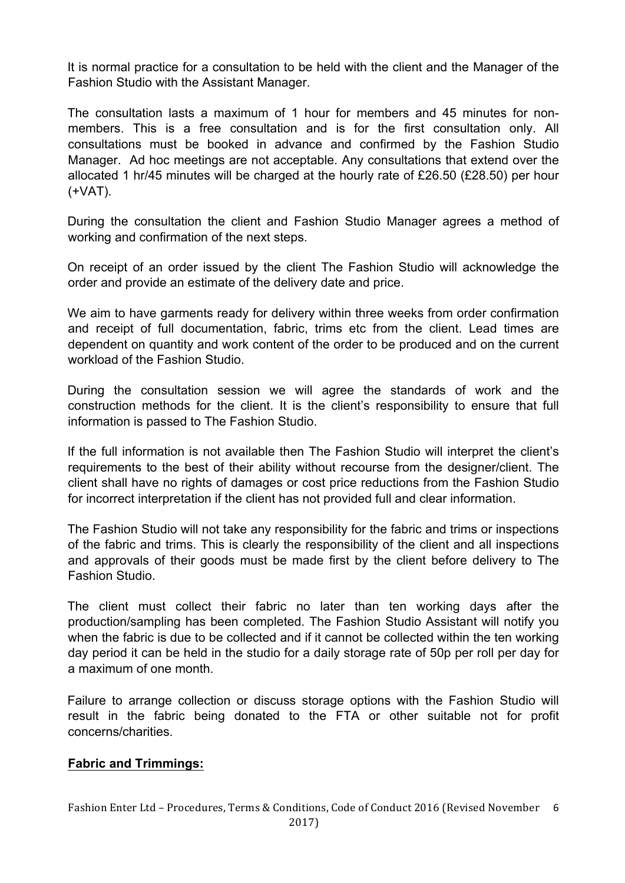It is normal practice for a consultation to be held with the client and the Manager of the Fashion Studio with the Assistant Manager.

The consultation lasts a maximum of 1 hour for members and 45 minutes for nonmembers. This is a free consultation and is for the first consultation only. All consultations must be booked in advance and confirmed by the Fashion Studio Manager. Ad hoc meetings are not acceptable. Any consultations that extend over the allocated 1 hr/45 minutes will be charged at the hourly rate of £26.50 (£28.50) per hour (+VAT).

During the consultation the client and Fashion Studio Manager agrees a method of working and confirmation of the next steps.

On receipt of an order issued by the client The Fashion Studio will acknowledge the order and provide an estimate of the delivery date and price.

We aim to have garments ready for delivery within three weeks from order confirmation and receipt of full documentation, fabric, trims etc from the client. Lead times are dependent on quantity and work content of the order to be produced and on the current workload of the Fashion Studio.

During the consultation session we will agree the standards of work and the construction methods for the client. It is the client's responsibility to ensure that full information is passed to The Fashion Studio.

If the full information is not available then The Fashion Studio will interpret the client's requirements to the best of their ability without recourse from the designer/client. The client shall have no rights of damages or cost price reductions from the Fashion Studio for incorrect interpretation if the client has not provided full and clear information.

The Fashion Studio will not take any responsibility for the fabric and trims or inspections of the fabric and trims. This is clearly the responsibility of the client and all inspections and approvals of their goods must be made first by the client before delivery to The Fashion Studio.

The client must collect their fabric no later than ten working days after the production/sampling has been completed. The Fashion Studio Assistant will notify you when the fabric is due to be collected and if it cannot be collected within the ten working day period it can be held in the studio for a daily storage rate of 50p per roll per day for a maximum of one month.

Failure to arrange collection or discuss storage options with the Fashion Studio will result in the fabric being donated to the FTA or other suitable not for profit concerns/charities.

#### **Fabric and Trimmings:**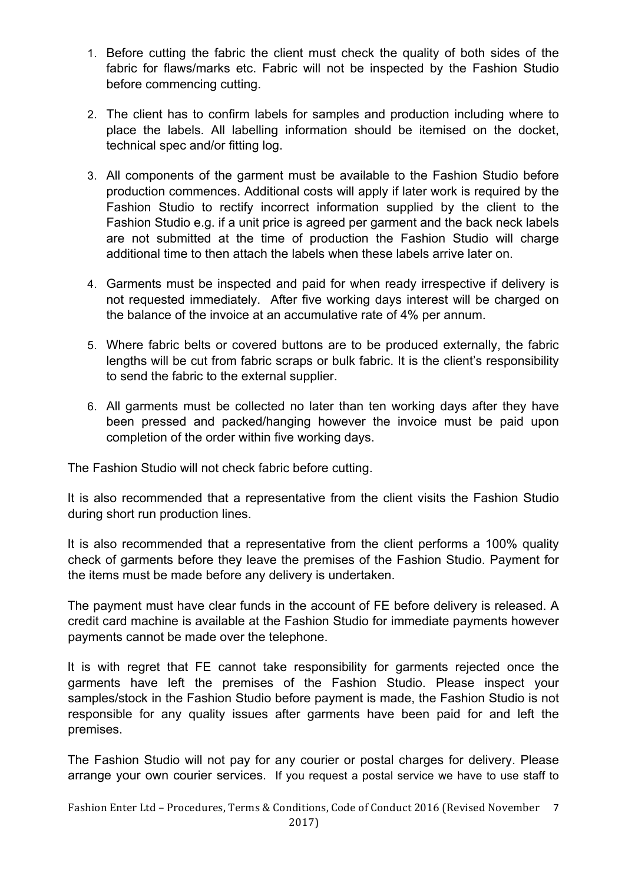- 1. Before cutting the fabric the client must check the quality of both sides of the fabric for flaws/marks etc. Fabric will not be inspected by the Fashion Studio before commencing cutting.
- 2. The client has to confirm labels for samples and production including where to place the labels. All labelling information should be itemised on the docket, technical spec and/or fitting log.
- 3. All components of the garment must be available to the Fashion Studio before production commences. Additional costs will apply if later work is required by the Fashion Studio to rectify incorrect information supplied by the client to the Fashion Studio e.g. if a unit price is agreed per garment and the back neck labels are not submitted at the time of production the Fashion Studio will charge additional time to then attach the labels when these labels arrive later on.
- 4. Garments must be inspected and paid for when ready irrespective if delivery is not requested immediately. After five working days interest will be charged on the balance of the invoice at an accumulative rate of 4% per annum.
- 5. Where fabric belts or covered buttons are to be produced externally, the fabric lengths will be cut from fabric scraps or bulk fabric. It is the client's responsibility to send the fabric to the external supplier.
- 6. All garments must be collected no later than ten working days after they have been pressed and packed/hanging however the invoice must be paid upon completion of the order within five working days.

The Fashion Studio will not check fabric before cutting.

It is also recommended that a representative from the client visits the Fashion Studio during short run production lines.

It is also recommended that a representative from the client performs a 100% quality check of garments before they leave the premises of the Fashion Studio. Payment for the items must be made before any delivery is undertaken.

The payment must have clear funds in the account of FE before delivery is released. A credit card machine is available at the Fashion Studio for immediate payments however payments cannot be made over the telephone.

It is with regret that FE cannot take responsibility for garments rejected once the garments have left the premises of the Fashion Studio. Please inspect your samples/stock in the Fashion Studio before payment is made, the Fashion Studio is not responsible for any quality issues after garments have been paid for and left the premises.

The Fashion Studio will not pay for any courier or postal charges for delivery. Please arrange your own courier services. If you request a postal service we have to use staff to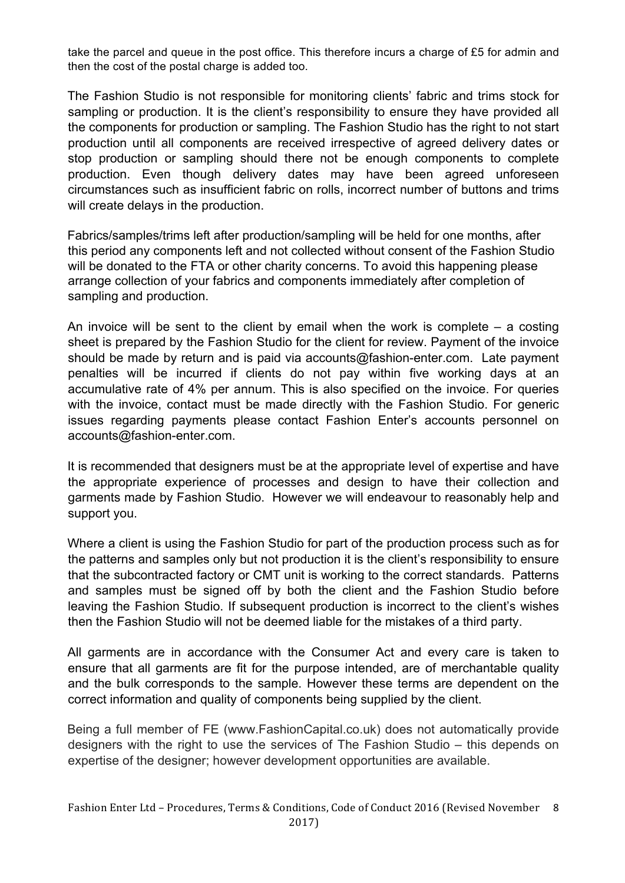take the parcel and queue in the post office. This therefore incurs a charge of £5 for admin and then the cost of the postal charge is added too.

The Fashion Studio is not responsible for monitoring clients' fabric and trims stock for sampling or production. It is the client's responsibility to ensure they have provided all the components for production or sampling. The Fashion Studio has the right to not start production until all components are received irrespective of agreed delivery dates or stop production or sampling should there not be enough components to complete production. Even though delivery dates may have been agreed unforeseen circumstances such as insufficient fabric on rolls, incorrect number of buttons and trims will create delays in the production.

Fabrics/samples/trims left after production/sampling will be held for one months, after this period any components left and not collected without consent of the Fashion Studio will be donated to the FTA or other charity concerns. To avoid this happening please arrange collection of your fabrics and components immediately after completion of sampling and production.

An invoice will be sent to the client by email when the work is complete  $-$  a costing sheet is prepared by the Fashion Studio for the client for review. Payment of the invoice should be made by return and is paid via accounts@fashion-enter.com. Late payment penalties will be incurred if clients do not pay within five working days at an accumulative rate of 4% per annum. This is also specified on the invoice. For queries with the invoice, contact must be made directly with the Fashion Studio. For generic issues regarding payments please contact Fashion Enter's accounts personnel on accounts@fashion-enter.com.

It is recommended that designers must be at the appropriate level of expertise and have the appropriate experience of processes and design to have their collection and garments made by Fashion Studio. However we will endeavour to reasonably help and support you.

Where a client is using the Fashion Studio for part of the production process such as for the patterns and samples only but not production it is the client's responsibility to ensure that the subcontracted factory or CMT unit is working to the correct standards. Patterns and samples must be signed off by both the client and the Fashion Studio before leaving the Fashion Studio. If subsequent production is incorrect to the client's wishes then the Fashion Studio will not be deemed liable for the mistakes of a third party.

All garments are in accordance with the Consumer Act and every care is taken to ensure that all garments are fit for the purpose intended, are of merchantable quality and the bulk corresponds to the sample. However these terms are dependent on the correct information and quality of components being supplied by the client.

Being a full member of FE (www.FashionCapital.co.uk) does not automatically provide designers with the right to use the services of The Fashion Studio – this depends on expertise of the designer; however development opportunities are available.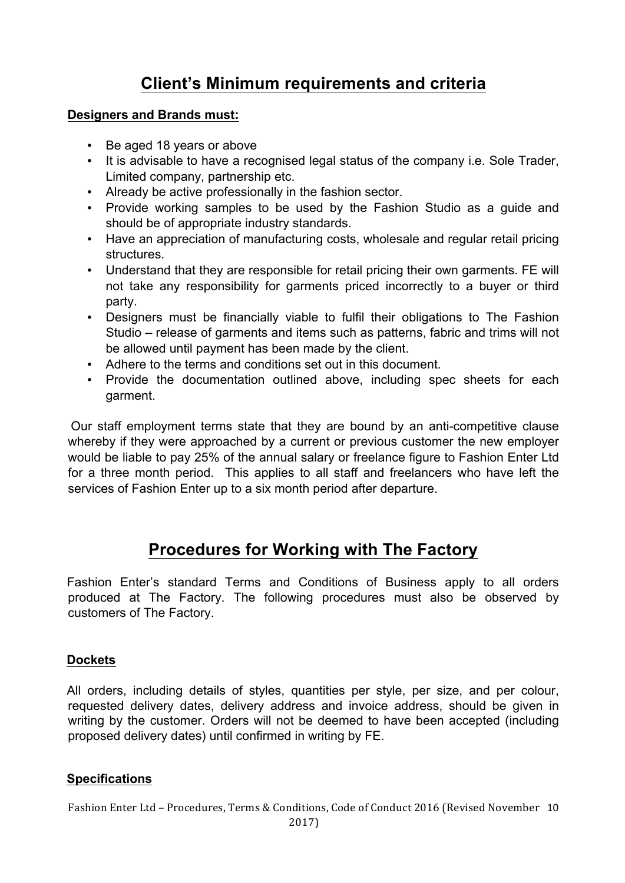# **Client's Minimum requirements and criteria**

### **Designers and Brands must:**

- Be aged 18 years or above
- It is advisable to have a recognised legal status of the company i.e. Sole Trader, Limited company, partnership etc.
- Already be active professionally in the fashion sector.
- Provide working samples to be used by the Fashion Studio as a guide and should be of appropriate industry standards.
- Have an appreciation of manufacturing costs, wholesale and regular retail pricing structures.
- Understand that they are responsible for retail pricing their own garments. FE will not take any responsibility for garments priced incorrectly to a buyer or third party.
- Designers must be financially viable to fulfil their obligations to The Fashion Studio – release of garments and items such as patterns, fabric and trims will not be allowed until payment has been made by the client.
- Adhere to the terms and conditions set out in this document.
- Provide the documentation outlined above, including spec sheets for each garment.

Our staff employment terms state that they are bound by an anti-competitive clause whereby if they were approached by a current or previous customer the new employer would be liable to pay 25% of the annual salary or freelance figure to Fashion Enter Ltd for a three month period. This applies to all staff and freelancers who have left the services of Fashion Enter up to a six month period after departure.

# **Procedures for Working with The Factory**

Fashion Enter's standard Terms and Conditions of Business apply to all orders produced at The Factory. The following procedures must also be observed by customers of The Factory.

# **Dockets**

All orders, including details of styles, quantities per style, per size, and per colour, requested delivery dates, delivery address and invoice address, should be given in writing by the customer. Orders will not be deemed to have been accepted (including proposed delivery dates) until confirmed in writing by FE.

# **Specifications**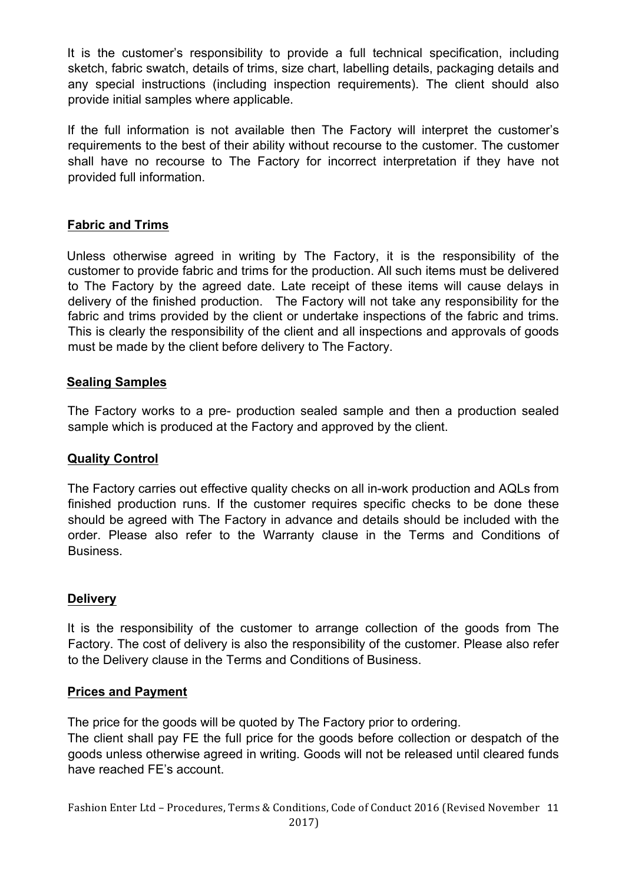It is the customer's responsibility to provide a full technical specification, including sketch, fabric swatch, details of trims, size chart, labelling details, packaging details and any special instructions (including inspection requirements). The client should also provide initial samples where applicable.

If the full information is not available then The Factory will interpret the customer's requirements to the best of their ability without recourse to the customer. The customer shall have no recourse to The Factory for incorrect interpretation if they have not provided full information.

# **Fabric and Trims**

Unless otherwise agreed in writing by The Factory, it is the responsibility of the customer to provide fabric and trims for the production. All such items must be delivered to The Factory by the agreed date. Late receipt of these items will cause delays in delivery of the finished production. The Factory will not take any responsibility for the fabric and trims provided by the client or undertake inspections of the fabric and trims. This is clearly the responsibility of the client and all inspections and approvals of goods must be made by the client before delivery to The Factory.

# **Sealing Samples**

The Factory works to a pre- production sealed sample and then a production sealed sample which is produced at the Factory and approved by the client.

# **Quality Control**

The Factory carries out effective quality checks on all in-work production and AQLs from finished production runs. If the customer requires specific checks to be done these should be agreed with The Factory in advance and details should be included with the order. Please also refer to the Warranty clause in the Terms and Conditions of Business.

# **Delivery**

It is the responsibility of the customer to arrange collection of the goods from The Factory. The cost of delivery is also the responsibility of the customer. Please also refer to the Delivery clause in the Terms and Conditions of Business.

# **Prices and Payment**

The price for the goods will be quoted by The Factory prior to ordering.

The client shall pay FE the full price for the goods before collection or despatch of the goods unless otherwise agreed in writing. Goods will not be released until cleared funds have reached FE's account.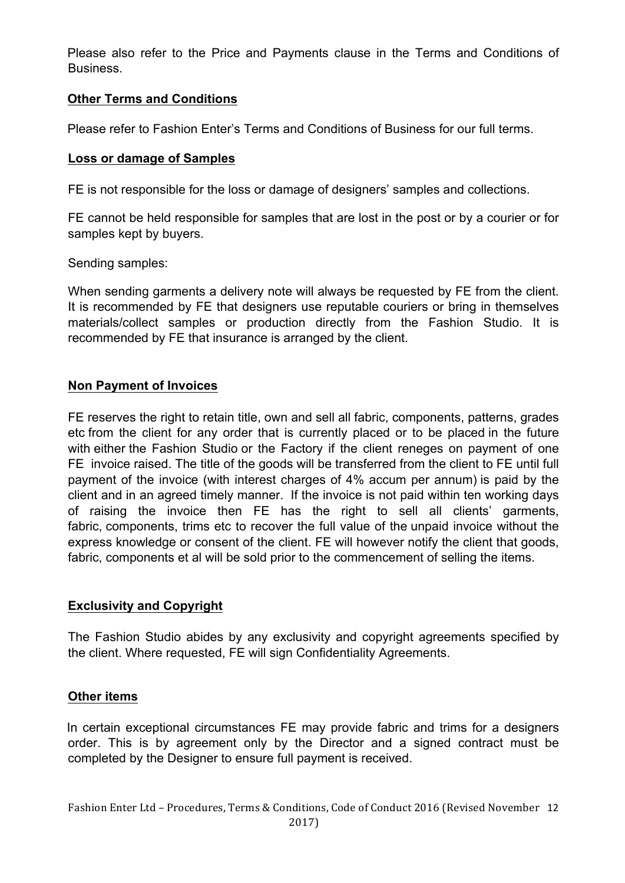Please also refer to the Price and Payments clause in the Terms and Conditions of Business.

# **Other Terms and Conditions**

Please refer to Fashion Enter's Terms and Conditions of Business for our full terms.

#### **Loss or damage of Samples**

FE is not responsible for the loss or damage of designers' samples and collections.

FE cannot be held responsible for samples that are lost in the post or by a courier or for samples kept by buyers.

Sending samples:

When sending garments a delivery note will always be requested by FE from the client. It is recommended by FE that designers use reputable couriers or bring in themselves materials/collect samples or production directly from the Fashion Studio. It is recommended by FE that insurance is arranged by the client.

#### **Non Payment of Invoices**

FE reserves the right to retain title, own and sell all fabric, components, patterns, grades etc from the client for any order that is currently placed or to be placed in the future with either the Fashion Studio or the Factory if the client reneges on payment of one FE invoice raised. The title of the goods will be transferred from the client to FE until full payment of the invoice (with interest charges of 4% accum per annum) is paid by the client and in an agreed timely manner. If the invoice is not paid within ten working days of raising the invoice then FE has the right to sell all clients' garments, fabric, components, trims etc to recover the full value of the unpaid invoice without the express knowledge or consent of the client. FE will however notify the client that goods, fabric, components et al will be sold prior to the commencement of selling the items.

# **Exclusivity and Copyright**

The Fashion Studio abides by any exclusivity and copyright agreements specified by the client. Where requested, FE will sign Confidentiality Agreements.

# **Other items**

In certain exceptional circumstances FE may provide fabric and trims for a designers order. This is by agreement only by the Director and a signed contract must be completed by the Designer to ensure full payment is received.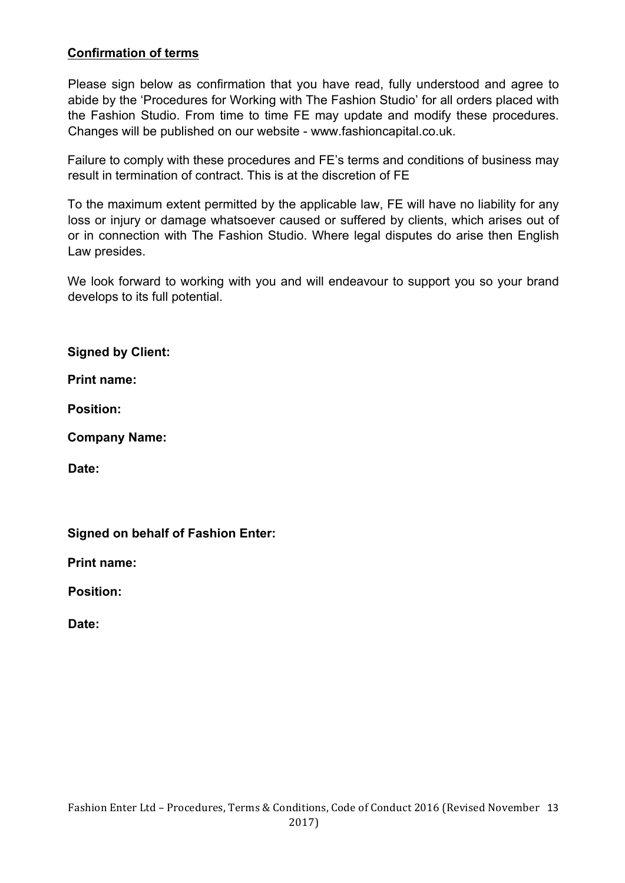# **Confirmation of terms**

Please sign below as confirmation that you have read, fully understood and agree to abide by the 'Procedures for Working with The Fashion Studio' for all orders placed with the Fashion Studio. From time to time FE may update and modify these procedures. Changes will be published on our website - www.fashioncapital.co.uk.

Failure to comply with these procedures and FE's terms and conditions of business may result in termination of contract. This is at the discretion of FE

To the maximum extent permitted by the applicable law, FE will have no liability for any loss or injury or damage whatsoever caused or suffered by clients, which arises out of or in connection with The Fashion Studio. Where legal disputes do arise then English Law presides.

We look forward to working with you and will endeavour to support you so your brand develops to its full potential.

**Signed by Client:** 

**Print name:** 

**Position:** 

**Company Name:** 

**Date:** 

**Signed on behalf of Fashion Enter:** 

**Print name:** 

**Position:** 

**Date:**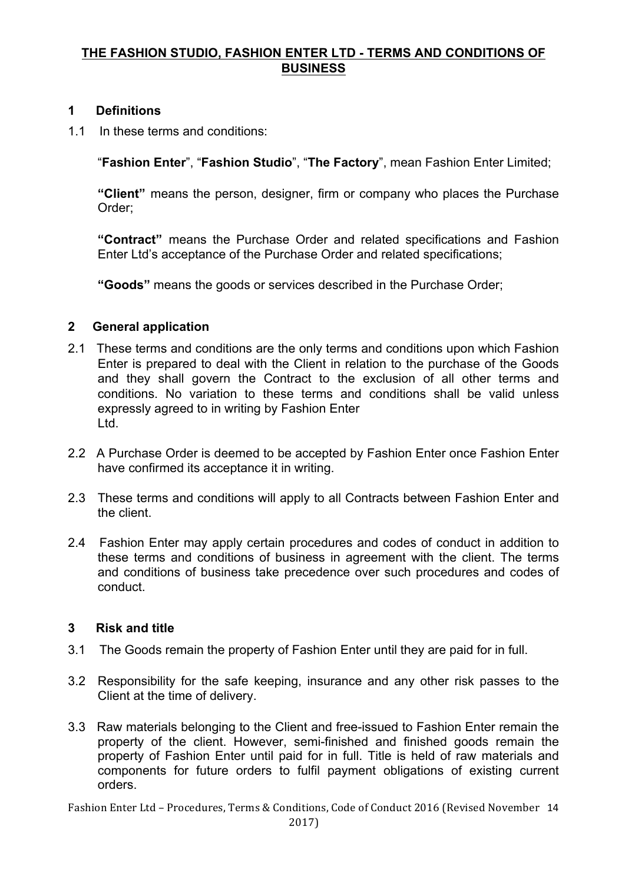# **THE FASHION STUDIO, FASHION ENTER LTD - TERMS AND CONDITIONS OF BUSINESS**

# **1****Definitions**

1.1 In these terms and conditions:

"**Fashion Enter**", "**Fashion Studio**", "**The Factory**", mean Fashion Enter Limited;

**"Client"** means the person, designer, firm or company who places the Purchase Order;

**"Contract"** means the Purchase Order and related specifications and Fashion Enter Ltd's acceptance of the Purchase Order and related specifications;

**"Goods"** means the goods or services described in the Purchase Order;

# **2 General application**

- 2.1 These terms and conditions are the only terms and conditions upon which Fashion Enter is prepared to deal with the Client in relation to the purchase of the Goods and they shall govern the Contract to the exclusion of all other terms and conditions. No variation to these terms and conditions shall be valid unless expressly agreed to in writing by Fashion Enter Ltd.
- 2.2 A Purchase Order is deemed to be accepted by Fashion Enter once Fashion Enter have confirmed its acceptance it in writing.
- 2.3 These terms and conditions will apply to all Contracts between Fashion Enter and the client.
- 2.4 Fashion Enter may apply certain procedures and codes of conduct in addition to these terms and conditions of business in agreement with the client. The terms and conditions of business take precedence over such procedures and codes of conduct.

# **3 Risk and title**

- 3.1 The Goods remain the property of Fashion Enter until they are paid for in full.
- 3.2 Responsibility for the safe keeping, insurance and any other risk passes to the Client at the time of delivery.
- 3.3 Raw materials belonging to the Client and free-issued to Fashion Enter remain the property of the client. However, semi-finished and finished goods remain the property of Fashion Enter until paid for in full. Title is held of raw materials and components for future orders to fulfil payment obligations of existing current orders.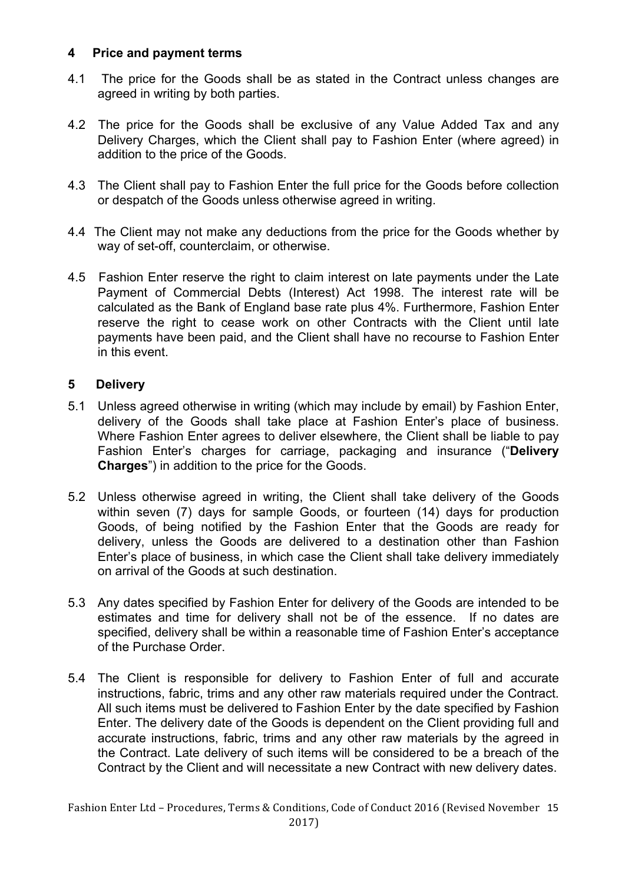### **4 Price and payment terms**

- 4.1 The price for the Goods shall be as stated in the Contract unless changes are agreed in writing by both parties.
- 4.2 The price for the Goods shall be exclusive of any Value Added Tax and any Delivery Charges, which the Client shall pay to Fashion Enter (where agreed) in addition to the price of the Goods.
- 4.3 The Client shall pay to Fashion Enter the full price for the Goods before collection or despatch of the Goods unless otherwise agreed in writing.
- 4.4 The Client may not make any deductions from the price for the Goods whether by way of set-off, counterclaim, or otherwise.
- 4.5 Fashion Enter reserve the right to claim interest on late payments under the Late Payment of Commercial Debts (Interest) Act 1998. The interest rate will be calculated as the Bank of England base rate plus 4%. Furthermore, Fashion Enter reserve the right to cease work on other Contracts with the Client until late payments have been paid, and the Client shall have no recourse to Fashion Enter in this event.

#### **5 Delivery**

- 5.1 Unless agreed otherwise in writing (which may include by email) by Fashion Enter, delivery of the Goods shall take place at Fashion Enter's place of business. Where Fashion Enter agrees to deliver elsewhere, the Client shall be liable to pay Fashion Enter's charges for carriage, packaging and insurance ("**Delivery Charges**") in addition to the price for the Goods.
- 5.2 Unless otherwise agreed in writing, the Client shall take delivery of the Goods within seven (7) days for sample Goods, or fourteen (14) days for production Goods, of being notified by the Fashion Enter that the Goods are ready for delivery, unless the Goods are delivered to a destination other than Fashion Enter's place of business, in which case the Client shall take delivery immediately on arrival of the Goods at such destination.
- 5.3 Any dates specified by Fashion Enter for delivery of the Goods are intended to be estimates and time for delivery shall not be of the essence. If no dates are specified, delivery shall be within a reasonable time of Fashion Enter's acceptance of the Purchase Order.
- 5.4 The Client is responsible for delivery to Fashion Enter of full and accurate instructions, fabric, trims and any other raw materials required under the Contract. All such items must be delivered to Fashion Enter by the date specified by Fashion Enter. The delivery date of the Goods is dependent on the Client providing full and accurate instructions, fabric, trims and any other raw materials by the agreed in the Contract. Late delivery of such items will be considered to be a breach of the Contract by the Client and will necessitate a new Contract with new delivery dates.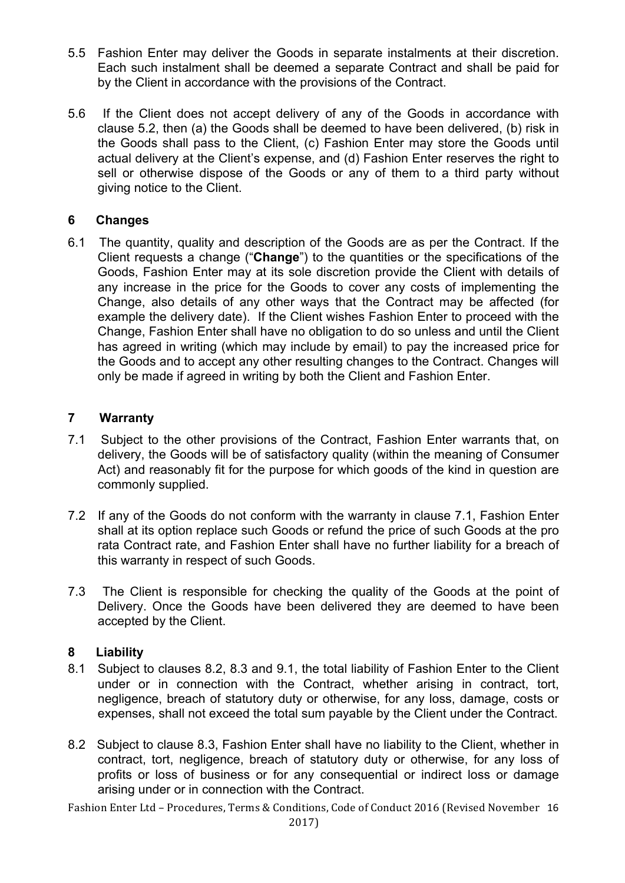- 5.5 Fashion Enter may deliver the Goods in separate instalments at their discretion. Each such instalment shall be deemed a separate Contract and shall be paid for by the Client in accordance with the provisions of the Contract.
- 5.6 If the Client does not accept delivery of any of the Goods in accordance with clause 5.2, then (a) the Goods shall be deemed to have been delivered, (b) risk in the Goods shall pass to the Client, (c) Fashion Enter may store the Goods until actual delivery at the Client's expense, and (d) Fashion Enter reserves the right to sell or otherwise dispose of the Goods or any of them to a third party without giving notice to the Client.

# **6 Changes**

6.1 The quantity, quality and description of the Goods are as per the Contract. If the Client requests a change ("**Change**") to the quantities or the specifications of the Goods, Fashion Enter may at its sole discretion provide the Client with details of any increase in the price for the Goods to cover any costs of implementing the Change, also details of any other ways that the Contract may be affected (for example the delivery date). If the Client wishes Fashion Enter to proceed with the Change, Fashion Enter shall have no obligation to do so unless and until the Client has agreed in writing (which may include by email) to pay the increased price for the Goods and to accept any other resulting changes to the Contract. Changes will only be made if agreed in writing by both the Client and Fashion Enter.

# **7 Warranty**

- 7.1 Subject to the other provisions of the Contract, Fashion Enter warrants that, on delivery, the Goods will be of satisfactory quality (within the meaning of Consumer Act) and reasonably fit for the purpose for which goods of the kind in question are commonly supplied.
- 7.2 If any of the Goods do not conform with the warranty in clause 7.1, Fashion Enter shall at its option replace such Goods or refund the price of such Goods at the pro rata Contract rate, and Fashion Enter shall have no further liability for a breach of this warranty in respect of such Goods.
- 7.3 The Client is responsible for checking the quality of the Goods at the point of Delivery. Once the Goods have been delivered they are deemed to have been accepted by the Client.

# **8 Liability**

- 8.1 Subject to clauses 8.2, 8.3 and 9.1, the total liability of Fashion Enter to the Client under or in connection with the Contract, whether arising in contract, tort, negligence, breach of statutory duty or otherwise, for any loss, damage, costs or expenses, shall not exceed the total sum payable by the Client under the Contract.
- 8.2 Subject to clause 8.3, Fashion Enter shall have no liability to the Client, whether in contract, tort, negligence, breach of statutory duty or otherwise, for any loss of profits or loss of business or for any consequential or indirect loss or damage arising under or in connection with the Contract.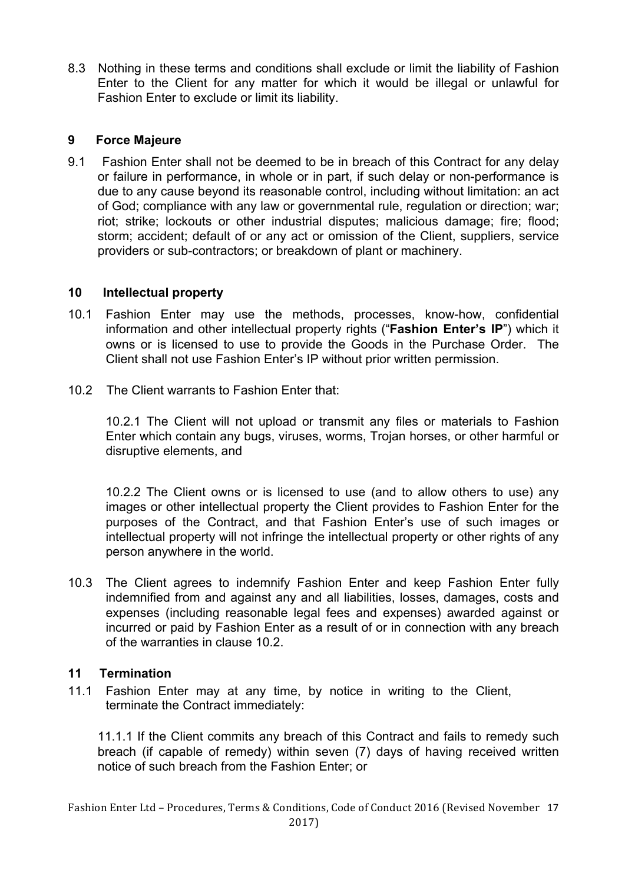8.3 Nothing in these terms and conditions shall exclude or limit the liability of Fashion Enter to the Client for any matter for which it would be illegal or unlawful for Fashion Enter to exclude or limit its liability.

### **9 Force Majeure**

9.1 Fashion Enter shall not be deemed to be in breach of this Contract for any delay or failure in performance, in whole or in part, if such delay or non-performance is due to any cause beyond its reasonable control, including without limitation: an act of God; compliance with any law or governmental rule, regulation or direction; war; riot; strike; lockouts or other industrial disputes; malicious damage; fire; flood; storm; accident; default of or any act or omission of the Client, suppliers, service providers or sub-contractors; or breakdown of plant or machinery.

#### **10 Intellectual property**

- 10.1 Fashion Enter may use the methods, processes, know-how, confidential information and other intellectual property rights ("**Fashion Enter's IP**") which it owns or is licensed to use to provide the Goods in the Purchase Order. The Client shall not use Fashion Enter's IP without prior written permission.
- 10.2 The Client warrants to Fashion Enter that:

10.2.1 The Client will not upload or transmit any files or materials to Fashion Enter which contain any bugs, viruses, worms, Trojan horses, or other harmful or disruptive elements, and

10.2.2 The Client owns or is licensed to use (and to allow others to use) any images or other intellectual property the Client provides to Fashion Enter for the purposes of the Contract, and that Fashion Enter's use of such images or intellectual property will not infringe the intellectual property or other rights of any person anywhere in the world.

10.3 The Client agrees to indemnify Fashion Enter and keep Fashion Enter fully indemnified from and against any and all liabilities, losses, damages, costs and expenses (including reasonable legal fees and expenses) awarded against or incurred or paid by Fashion Enter as a result of or in connection with any breach of the warranties in clause 10.2.

# **11 Termination**

11.1 Fashion Enter may at any time, by notice in writing to the Client, terminate the Contract immediately:

11.1.1 If the Client commits any breach of this Contract and fails to remedy such breach (if capable of remedy) within seven (7) days of having received written notice of such breach from the Fashion Enter; or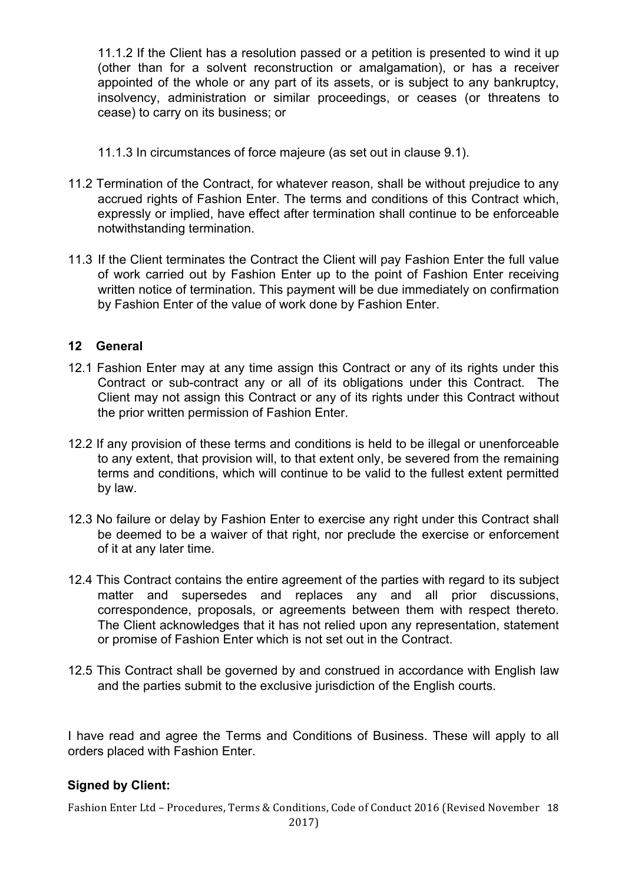11.1.2 If the Client has a resolution passed or a petition is presented to wind it up (other than for a solvent reconstruction or amalgamation), or has a receiver appointed of the whole or any part of its assets, or is subject to any bankruptcy, insolvency, administration or similar proceedings, or ceases (or threatens to cease) to carry on its business; or

- 11.1.3 In circumstances of force majeure (as set out in clause 9.1).
- 11.2 Termination of the Contract, for whatever reason, shall be without prejudice to any accrued rights of Fashion Enter. The terms and conditions of this Contract which, expressly or implied, have effect after termination shall continue to be enforceable notwithstanding termination.
- 11.3 If the Client terminates the Contract the Client will pay Fashion Enter the full value of work carried out by Fashion Enter up to the point of Fashion Enter receiving written notice of termination. This payment will be due immediately on confirmation by Fashion Enter of the value of work done by Fashion Enter.

#### **12 General**

- 12.1 Fashion Enter may at any time assign this Contract or any of its rights under this Contract or sub-contract any or all of its obligations under this Contract. The Client may not assign this Contract or any of its rights under this Contract without the prior written permission of Fashion Enter.
- 12.2 If any provision of these terms and conditions is held to be illegal or unenforceable to any extent, that provision will, to that extent only, be severed from the remaining terms and conditions, which will continue to be valid to the fullest extent permitted by law.
- 12.3 No failure or delay by Fashion Enter to exercise any right under this Contract shall be deemed to be a waiver of that right, nor preclude the exercise or enforcement of it at any later time.
- 12.4 This Contract contains the entire agreement of the parties with regard to its subject matter and supersedes and replaces any and all prior discussions, correspondence, proposals, or agreements between them with respect thereto. The Client acknowledges that it has not relied upon any representation, statement or promise of Fashion Enter which is not set out in the Contract.
- 12.5 This Contract shall be governed by and construed in accordance with English law and the parties submit to the exclusive jurisdiction of the English courts.

I have read and agree the Terms and Conditions of Business. These will apply to all orders placed with Fashion Enter.

# **Signed by Client:**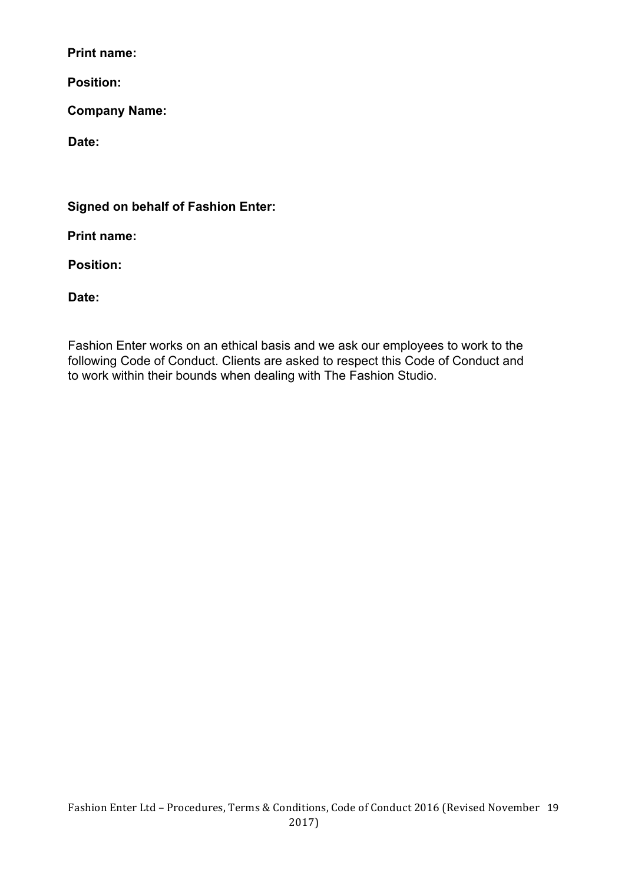**Print name:** 

**Position:** 

**Company Name:** 

**Date:** 

**Signed on behalf of Fashion Enter:** 

**Print name:** 

**Position:** 

**Date:** 

Fashion Enter works on an ethical basis and we ask our employees to work to the following Code of Conduct. Clients are asked to respect this Code of Conduct and to work within their bounds when dealing with The Fashion Studio.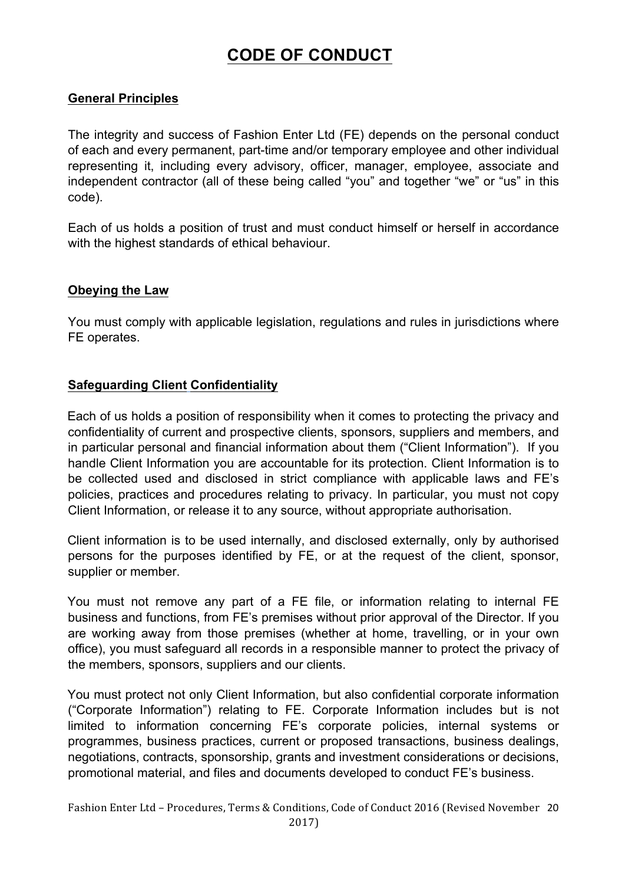# **CODE OF CONDUCT**

# **General Principles**

The integrity and success of Fashion Enter Ltd (FE) depends on the personal conduct of each and every permanent, part-time and/or temporary employee and other individual representing it, including every advisory, officer, manager, employee, associate and independent contractor (all of these being called "you" and together "we" or "us" in this code).

Each of us holds a position of trust and must conduct himself or herself in accordance with the highest standards of ethical behaviour.

#### **Obeying the Law**

 You must comply with applicable legislation, regulations and rules in jurisdictions where FE operates.

#### **Safeguarding Client Confidentiality**

Each of us holds a position of responsibility when it comes to protecting the privacy and confidentiality of current and prospective clients, sponsors, suppliers and members, and in particular personal and financial information about them ("Client Information"). If you handle Client Information you are accountable for its protection. Client Information is to be collected used and disclosed in strict compliance with applicable laws and FE's policies, practices and procedures relating to privacy. In particular, you must not copy Client Information, or release it to any source, without appropriate authorisation.

Client information is to be used internally, and disclosed externally, only by authorised persons for the purposes identified by FE, or at the request of the client, sponsor, supplier or member.

You must not remove any part of a FE file, or information relating to internal FE business and functions, from FE's premises without prior approval of the Director. If you are working away from those premises (whether at home, travelling, or in your own office), you must safeguard all records in a responsible manner to protect the privacy of the members, sponsors, suppliers and our clients.

You must protect not only Client Information, but also confidential corporate information ("Corporate Information") relating to FE. Corporate Information includes but is not limited to information concerning FE's corporate policies, internal systems or programmes, business practices, current or proposed transactions, business dealings, negotiations, contracts, sponsorship, grants and investment considerations or decisions, promotional material, and files and documents developed to conduct FE's business.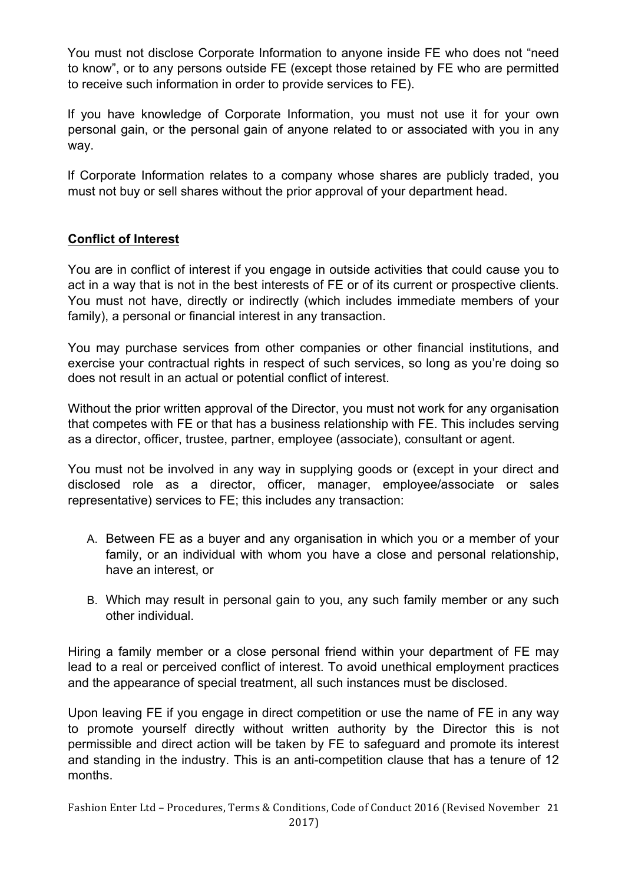You must not disclose Corporate Information to anyone inside FE who does not "need to know", or to any persons outside FE (except those retained by FE who are permitted to receive such information in order to provide services to FE).

If you have knowledge of Corporate Information, you must not use it for your own personal gain, or the personal gain of anyone related to or associated with you in any way.

If Corporate Information relates to a company whose shares are publicly traded, you must not buy or sell shares without the prior approval of your department head.

# **Conflict of Interest**

You are in conflict of interest if you engage in outside activities that could cause you to act in a way that is not in the best interests of FE or of its current or prospective clients. You must not have, directly or indirectly (which includes immediate members of your family), a personal or financial interest in any transaction.

You may purchase services from other companies or other financial institutions, and exercise your contractual rights in respect of such services, so long as you're doing so does not result in an actual or potential conflict of interest.

Without the prior written approval of the Director, you must not work for any organisation that competes with FE or that has a business relationship with FE. This includes serving as a director, officer, trustee, partner, employee (associate), consultant or agent.

You must not be involved in any way in supplying goods or (except in your direct and disclosed role as a director, officer, manager, employee/associate or sales representative) services to FE; this includes any transaction:

- A. Between FE as a buyer and any organisation in which you or a member of your family, or an individual with whom you have a close and personal relationship, have an interest, or
- B. Which may result in personal gain to you, any such family member or any such other individual.

Hiring a family member or a close personal friend within your department of FE may lead to a real or perceived conflict of interest. To avoid unethical employment practices and the appearance of special treatment, all such instances must be disclosed.

Upon leaving FE if you engage in direct competition or use the name of FE in any way to promote yourself directly without written authority by the Director this is not permissible and direct action will be taken by FE to safeguard and promote its interest and standing in the industry. This is an anti-competition clause that has a tenure of 12 months.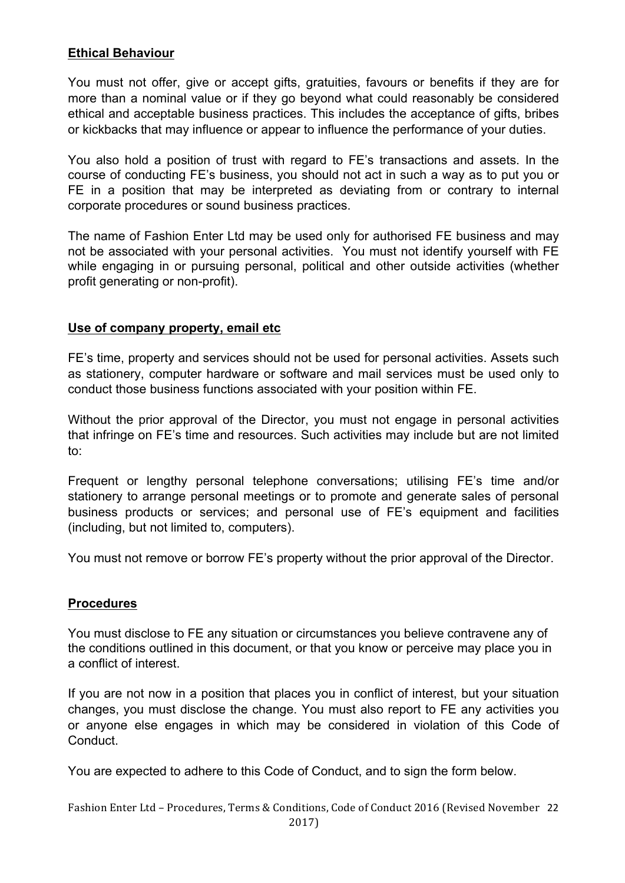# **Ethical Behaviour**

You must not offer, give or accept gifts, gratuities, favours or benefits if they are for more than a nominal value or if they go beyond what could reasonably be considered ethical and acceptable business practices. This includes the acceptance of gifts, bribes or kickbacks that may influence or appear to influence the performance of your duties.

You also hold a position of trust with regard to FE's transactions and assets. In the course of conducting FE's business, you should not act in such a way as to put you or FE in a position that may be interpreted as deviating from or contrary to internal corporate procedures or sound business practices.

The name of Fashion Enter Ltd may be used only for authorised FE business and may not be associated with your personal activities. You must not identify yourself with FE while engaging in or pursuing personal, political and other outside activities (whether profit generating or non-profit).

#### **Use of company property, email etc**

FE's time, property and services should not be used for personal activities. Assets such as stationery, computer hardware or software and mail services must be used only to conduct those business functions associated with your position within FE.

Without the prior approval of the Director, you must not engage in personal activities that infringe on FE's time and resources. Such activities may include but are not limited to:

Frequent or lengthy personal telephone conversations; utilising FE's time and/or stationery to arrange personal meetings or to promote and generate sales of personal business products or services; and personal use of FE's equipment and facilities (including, but not limited to, computers).

You must not remove or borrow FE's property without the prior approval of the Director.

#### **Procedures**

You must disclose to FE any situation or circumstances you believe contravene any of the conditions outlined in this document, or that you know or perceive may place you in a conflict of interest.

If you are not now in a position that places you in conflict of interest, but your situation changes, you must disclose the change. You must also report to FE any activities you or anyone else engages in which may be considered in violation of this Code of Conduct.

You are expected to adhere to this Code of Conduct, and to sign the form below.